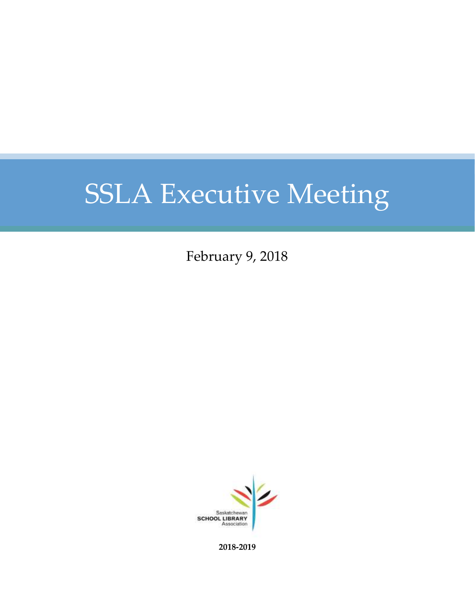February 9, 2018



**2018-2019**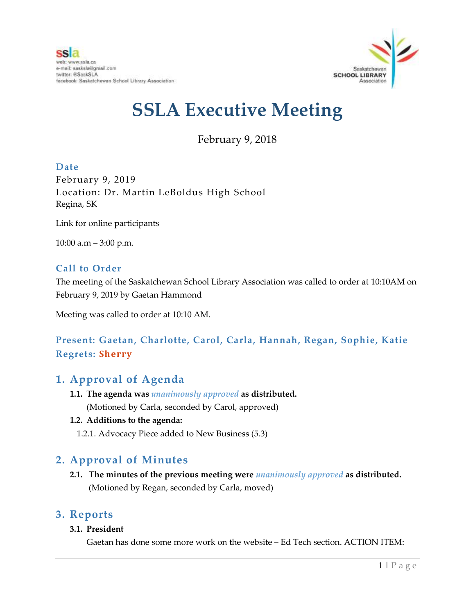

February 9, 2018

#### **Date**

February 9, 2019 Location: Dr. Martin LeBoldus High School Regina, SK

Link for online participants

10:00 a.m – 3:00 p.m.

#### **Call to Order**

The meeting of the Saskatchewan School Library Association was called to order at 10:10AM on February 9, 2019 by Gaetan Hammond

Meeting was called to order at 10:10 AM.

### **Present: Gaetan, Charlotte, Carol, Carla, Hannah, Regan, Sophie, Katie Regrets: Sherry**

### **1. Approval of Agenda**

**1.1. The agenda was** *unanimously approved* **as distributed.** (Motioned by Carla, seconded by Carol, approved)

#### **1.2. Additions to the agenda:**

1.2.1. Advocacy Piece added to New Business (5.3)

## **2. Approval of Minutes**

**2.1. The minutes of the previous meeting were** *unanimously approved* **as distributed.** (Motioned by Regan, seconded by Carla, moved)

### **3. Reports**

#### **3.1. President**

Gaetan has done some more work on the website – Ed Tech section. ACTION ITEM: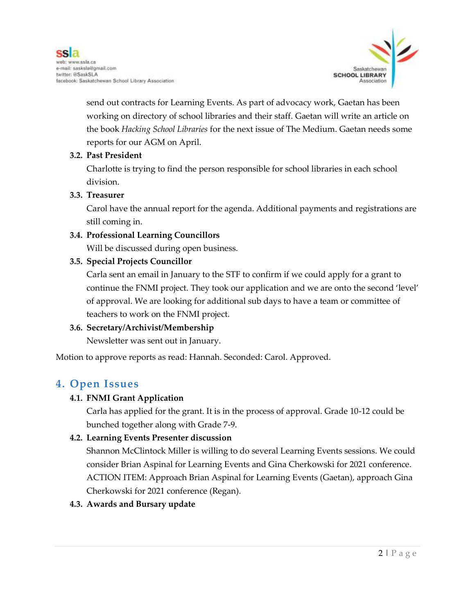

send out contracts for Learning Events. As part of advocacy work, Gaetan has been working on directory of school libraries and their staff. Gaetan will write an article on the book *Hacking School Libraries* for the next issue of The Medium. Gaetan needs some reports for our AGM on April.

#### **3.2. Past President**

Charlotte is trying to find the person responsible for school libraries in each school division.

#### **3.3. Treasurer**

Carol have the annual report for the agenda. Additional payments and registrations are still coming in.

#### **3.4. Professional Learning Councillors**

Will be discussed during open business.

#### **3.5. Special Projects Councillor**

Carla sent an email in January to the STF to confirm if we could apply for a grant to continue the FNMI project. They took our application and we are onto the second 'level' of approval. We are looking for additional sub days to have a team or committee of teachers to work on the FNMI project.

#### **3.6. Secretary/Archivist/Membership**

Newsletter was sent out in January.

Motion to approve reports as read: Hannah. Seconded: Carol. Approved.

### **4. Open Issues**

#### **4.1. FNMI Grant Application**

Carla has applied for the grant. It is in the process of approval. Grade 10-12 could be bunched together along with Grade 7-9.

#### **4.2. Learning Events Presenter discussion**

Shannon McClintock Miller is willing to do several Learning Events sessions. We could consider Brian Aspinal for Learning Events and Gina Cherkowski for 2021 conference. ACTION ITEM: Approach Brian Aspinal for Learning Events (Gaetan), approach Gina Cherkowski for 2021 conference (Regan).

#### **4.3. Awards and Bursary update**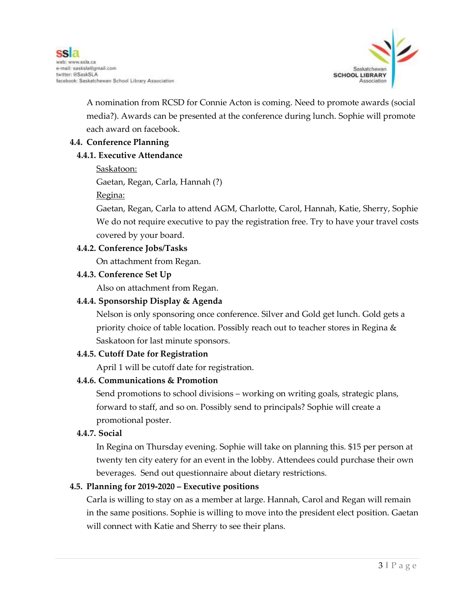

A nomination from RCSD for Connie Acton is coming. Need to promote awards (social media?). Awards can be presented at the conference during lunch. Sophie will promote each award on facebook.

#### **4.4. Conference Planning**

#### **4.4.1. Executive Attendance**

Saskatoon:

Gaetan, Regan, Carla, Hannah (?)

Regina:

Gaetan, Regan, Carla to attend AGM, Charlotte, Carol, Hannah, Katie, Sherry, Sophie We do not require executive to pay the registration free. Try to have your travel costs covered by your board.

#### **4.4.2. Conference Jobs/Tasks**

On attachment from Regan.

#### **4.4.3. Conference Set Up**

Also on attachment from Regan.

#### **4.4.4. Sponsorship Display & Agenda**

Nelson is only sponsoring once conference. Silver and Gold get lunch. Gold gets a priority choice of table location. Possibly reach out to teacher stores in Regina & Saskatoon for last minute sponsors.

#### **4.4.5. Cutoff Date for Registration**

April 1 will be cutoff date for registration.

#### **4.4.6. Communications & Promotion**

Send promotions to school divisions – working on writing goals, strategic plans, forward to staff, and so on. Possibly send to principals? Sophie will create a promotional poster.

#### **4.4.7. Social**

In Regina on Thursday evening. Sophie will take on planning this. \$15 per person at twenty ten city eatery for an event in the lobby. Attendees could purchase their own beverages. Send out questionnaire about dietary restrictions.

#### **4.5. Planning for 2019-2020 – Executive positions**

Carla is willing to stay on as a member at large. Hannah, Carol and Regan will remain in the same positions. Sophie is willing to move into the president elect position. Gaetan will connect with Katie and Sherry to see their plans.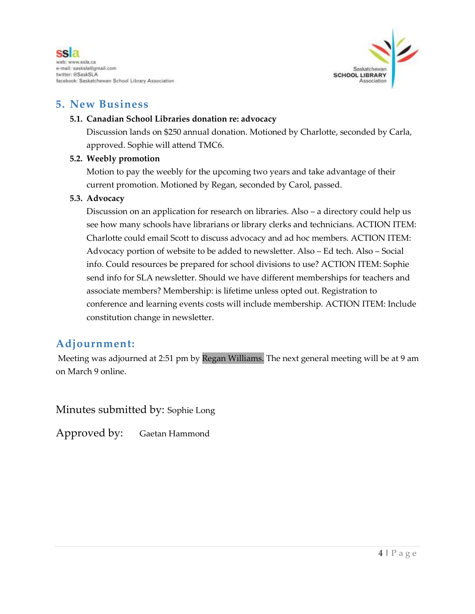



### **5. New Business**

#### **5.1. Canadian School Libraries donation re: advocacy**

Discussion lands on \$250 annual donation. Motioned by Charlotte, seconded by Carla, approved. Sophie will attend TMC6.

#### **5.2. Weebly promotion**

Motion to pay the weebly for the upcoming two years and take advantage of their current promotion. Motioned by Regan, seconded by Carol, passed.

#### **5.3. Advocacy**

Discussion on an application for research on libraries. Also – a directory could help us see how many schools have librarians or library clerks and technicians. ACTION ITEM: Charlotte could email Scott to discuss advocacy and ad hoc members. ACTION ITEM: Advocacy portion of website to be added to newsletter. Also – Ed tech. Also – Social info. Could resources be prepared for school divisions to use? ACTION ITEM: Sophie send info for SLA newsletter. Should we have different memberships for teachers and associate members? Membership: is lifetime unless opted out. Registration to conference and learning events costs will include membership. ACTION ITEM: Include constitution change in newsletter.

### **Adjournment:**

Meeting was adjourned at 2:51 pm by Regan Williams. The next general meeting will be at 9 am on March 9 online.

Minutes submitted by: Sophie Long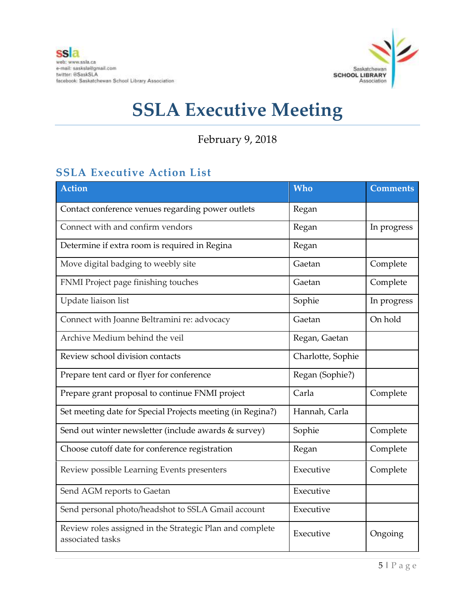

February 9, 2018

## **SSLA Executive Action List**

| <b>Action</b>                                                                | Who               | <b>Comments</b> |
|------------------------------------------------------------------------------|-------------------|-----------------|
| Contact conference venues regarding power outlets                            | Regan             |                 |
| Connect with and confirm vendors                                             | Regan             | In progress     |
| Determine if extra room is required in Regina                                | Regan             |                 |
| Move digital badging to weebly site                                          | Gaetan            | Complete        |
| FNMI Project page finishing touches                                          | Gaetan            | Complete        |
| Update liaison list                                                          | Sophie            | In progress     |
| Connect with Joanne Beltramini re: advocacy                                  | Gaetan            | On hold         |
| Archive Medium behind the veil                                               | Regan, Gaetan     |                 |
| Review school division contacts                                              | Charlotte, Sophie |                 |
| Prepare tent card or flyer for conference                                    | Regan (Sophie?)   |                 |
| Prepare grant proposal to continue FNMI project                              | Carla             | Complete        |
| Set meeting date for Special Projects meeting (in Regina?)                   | Hannah, Carla     |                 |
| Send out winter newsletter (include awards & survey)                         | Sophie            | Complete        |
| Choose cutoff date for conference registration                               | Regan             | Complete        |
| Review possible Learning Events presenters                                   | Executive         | Complete        |
| Send AGM reports to Gaetan                                                   | Executive         |                 |
| Send personal photo/headshot to SSLA Gmail account                           | Executive         |                 |
| Review roles assigned in the Strategic Plan and complete<br>associated tasks | Executive         | Ongoing         |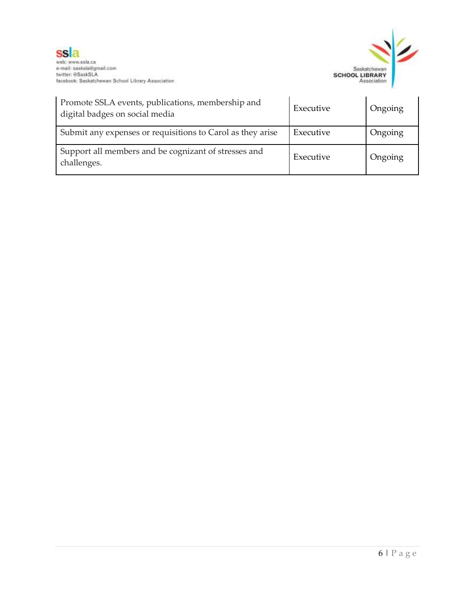



| Promote SSLA events, publications, membership and<br>digital badges on social media | Executive | Ongoing |
|-------------------------------------------------------------------------------------|-----------|---------|
| Submit any expenses or requisitions to Carol as they arise                          | Executive | Ongoing |
| Support all members and be cognizant of stresses and<br>challenges.                 | Executive | Ongoing |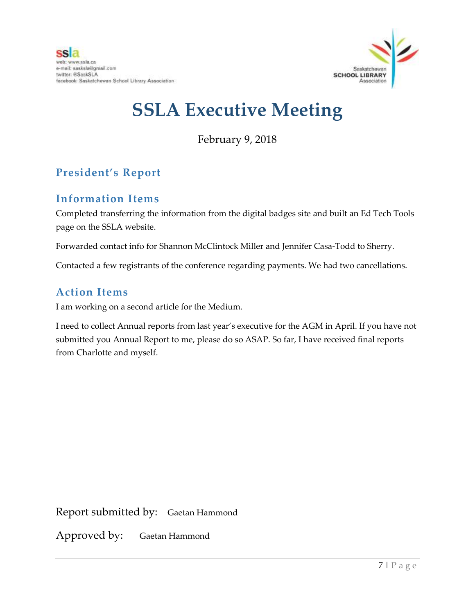

February 9, 2018

## **President's Report**

## **Information Items**

Completed transferring the information from the digital badges site and built an Ed Tech Tools page on the SSLA website.

Forwarded contact info for Shannon McClintock Miller and Jennifer Casa-Todd to Sherry.

Contacted a few registrants of the conference regarding payments. We had two cancellations.

### **Action Items**

I am working on a second article for the Medium.

I need to collect Annual reports from last year's executive for the AGM in April. If you have not submitted you Annual Report to me, please do so ASAP. So far, I have received final reports from Charlotte and myself.

Report submitted by: Gaetan Hammond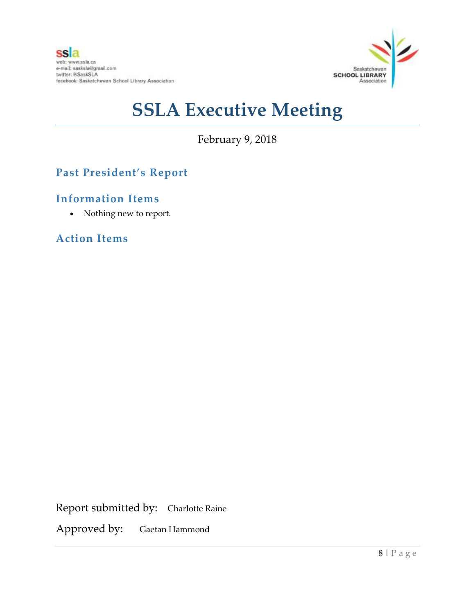

February 9, 2018

## **Past President's Report**

### **Information Items**

Nothing new to report.

**Action Items**

Report submitted by: Charlotte Raine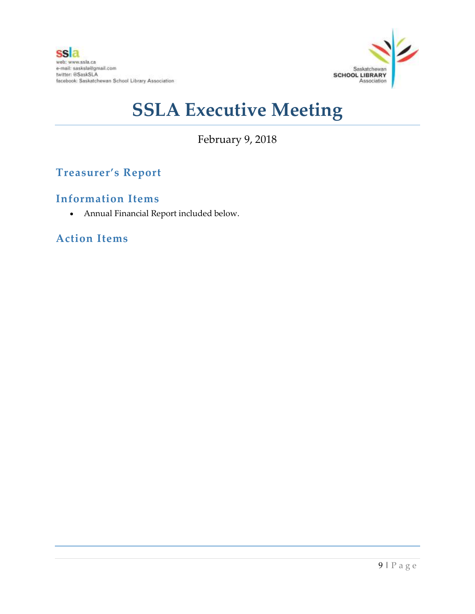

February 9, 2018

## **Treasurer's Report**

### **Information Items**

Annual Financial Report included below.

## **Action Items**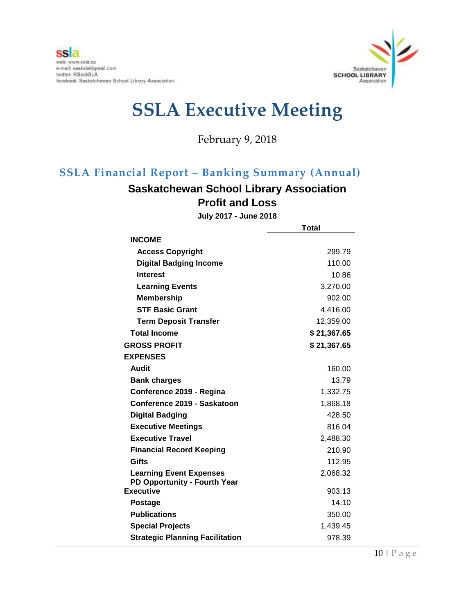

February 9, 2018

## **SSLA Financial Report – Banking Summary (Annual)**

## **Saskatchewan School Library Association Profit and Loss**

**July 2017 - June 2018**

|                                                  | <b>Total</b> |  |
|--------------------------------------------------|--------------|--|
| <b>INCOME</b>                                    |              |  |
| <b>Access Copyright</b>                          | 299.79       |  |
| <b>Digital Badging Income</b>                    | 110.00       |  |
| <b>Interest</b>                                  | 10.86        |  |
| <b>Learning Events</b>                           | 3,270.00     |  |
| <b>Membership</b>                                | 902.00       |  |
| <b>STF Basic Grant</b>                           | 4,416.00     |  |
| <b>Term Deposit Transfer</b>                     | 12,359.00    |  |
| <b>Total Income</b>                              | \$21,367.65  |  |
| <b>GROSS PROFIT</b>                              | \$21,367.65  |  |
| <b>EXPENSES</b>                                  |              |  |
| Audit                                            | 160.00       |  |
| <b>Bank charges</b>                              | 13.79        |  |
| Conference 2019 - Regina                         | 1,332.75     |  |
| Conference 2019 - Saskatoon                      | 1,868.18     |  |
| <b>Digital Badging</b>                           | 428.50       |  |
| <b>Executive Meetings</b>                        | 816.04       |  |
| <b>Executive Travel</b>                          | 2,488.30     |  |
| <b>Financial Record Keeping</b>                  | 210.90       |  |
| Gifts                                            | 112.95       |  |
| <b>Learning Event Expenses</b>                   | 2,068.32     |  |
| PD Opportunity - Fourth Year<br><b>Executive</b> |              |  |
|                                                  | 903.13       |  |
| <b>Postage</b>                                   | 14.10        |  |
| <b>Publications</b>                              | 350.00       |  |
| <b>Special Projects</b>                          | 1,439.45     |  |
| <b>Strategic Planning Facilitation</b>           | 978.39       |  |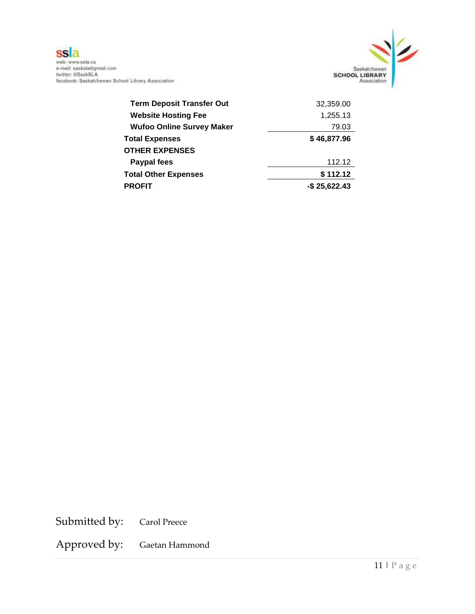

**SS 2**<br>web: www.ssla.ca<br>e-mail: sasksla@gmail.com<br>twitter: @SaskSLA<br>facebook: Saskatchewan School Library Association

| <b>Term Deposit Transfer Out</b> | 32,359.00       |
|----------------------------------|-----------------|
| <b>Website Hosting Fee</b>       | 1,255.13        |
| <b>Wufoo Online Survey Maker</b> | 79.03           |
| <b>Total Expenses</b>            | \$46,877.96     |
| <b>OTHER EXPENSES</b>            |                 |
| Paypal fees                      | 112.12          |
| <b>Total Other Expenses</b>      | \$112.12        |
| <b>PROFIT</b>                    | $-$ \$25,622.43 |

Submitted by: Carol Preece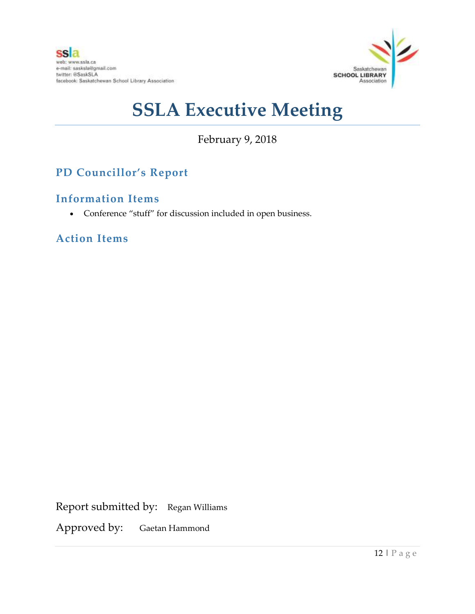

## February 9, 2018

## **PD Councillor's Report**

## **Information Items**

Conference "stuff" for discussion included in open business.

**Action Items**

Report submitted by: Regan Williams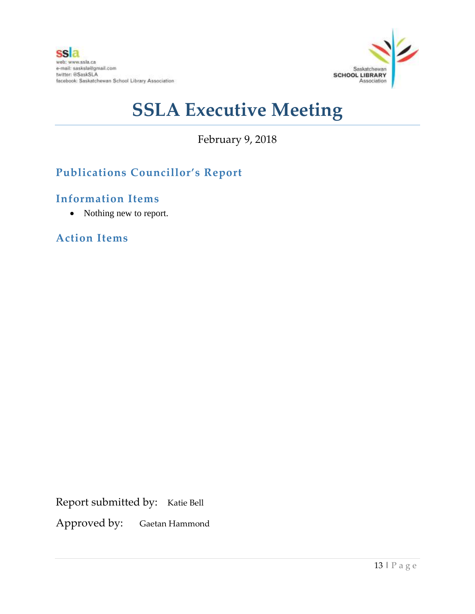

February 9, 2018

## **Publications Councillor's Report**

### **Information Items**

• Nothing new to report.

**Action Items**

Report submitted by: Katie Bell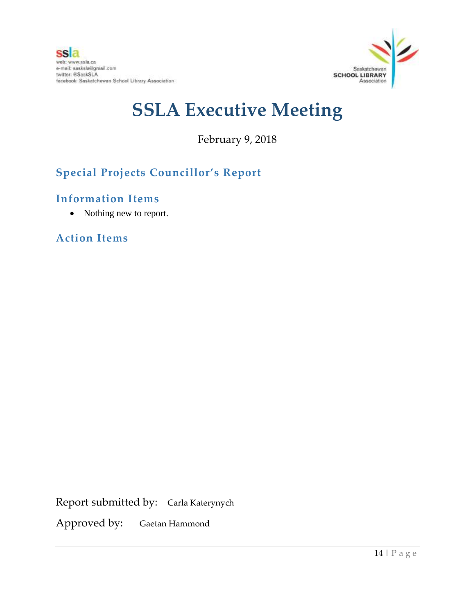

February 9, 2018

## **Special Projects Councillor's Report**

## **Information Items**

• Nothing new to report.

**Action Items**

Report submitted by: Carla Katerynych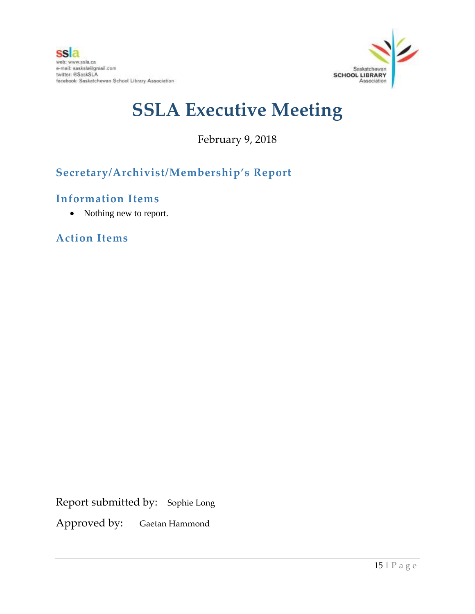

February 9, 2018

## **Secretary/Archivist/Membership's Report**

### **Information Items**

• Nothing new to report.

**Action Items**

Report submitted by: Sophie Long